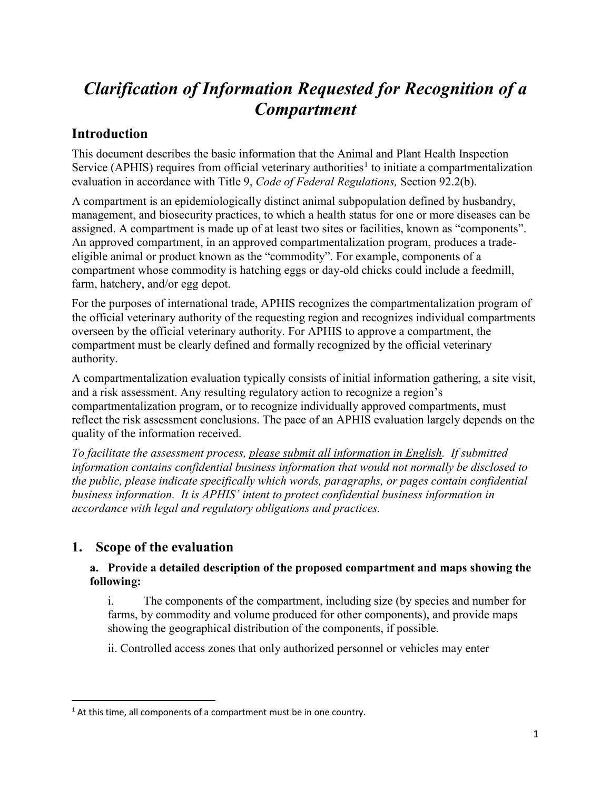# *Clarification of Information Requested for Recognition of a Compartment*

# **Introduction**

This document describes the basic information that the Animal and Plant Health Inspection Service (APHIS) requires from official veterinary authorities<sup>[1](#page-0-0)</sup> to initiate a compartmentalization evaluation in accordance with Title 9, *Code of Federal Regulations,* Section 92.2(b).

A compartment is an epidemiologically distinct animal subpopulation defined by husbandry, management, and biosecurity practices, to which a health status for one or more diseases can be assigned. A compartment is made up of at least two sites or facilities, known as "components". An approved compartment, in an approved compartmentalization program, produces a tradeeligible animal or product known as the "commodity". For example, components of a compartment whose commodity is hatching eggs or day-old chicks could include a feedmill, farm, hatchery, and/or egg depot.

For the purposes of international trade, APHIS recognizes the compartmentalization program of the official veterinary authority of the requesting region and recognizes individual compartments overseen by the official veterinary authority. For APHIS to approve a compartment, the compartment must be clearly defined and formally recognized by the official veterinary authority.

A compartmentalization evaluation typically consists of initial information gathering, a site visit, and a risk assessment. Any resulting regulatory action to recognize a region's compartmentalization program, or to recognize individually approved compartments, must reflect the risk assessment conclusions. The pace of an APHIS evaluation largely depends on the quality of the information received.

*To facilitate the assessment process, please submit all information in English. If submitted information contains confidential business information that would not normally be disclosed to the public, please indicate specifically which words, paragraphs, or pages contain confidential business information. It is APHIS' intent to protect confidential business information in accordance with legal and regulatory obligations and practices.*

# **1. Scope of the evaluation**

### **a. Provide a detailed description of the proposed compartment and maps showing the following:**

i. The components of the compartment, including size (by species and number for farms, by commodity and volume produced for other components), and provide maps showing the geographical distribution of the components, if possible.

ii. Controlled access zones that only authorized personnel or vehicles may enter

<span id="page-0-0"></span> $1$  At this time, all components of a compartment must be in one country.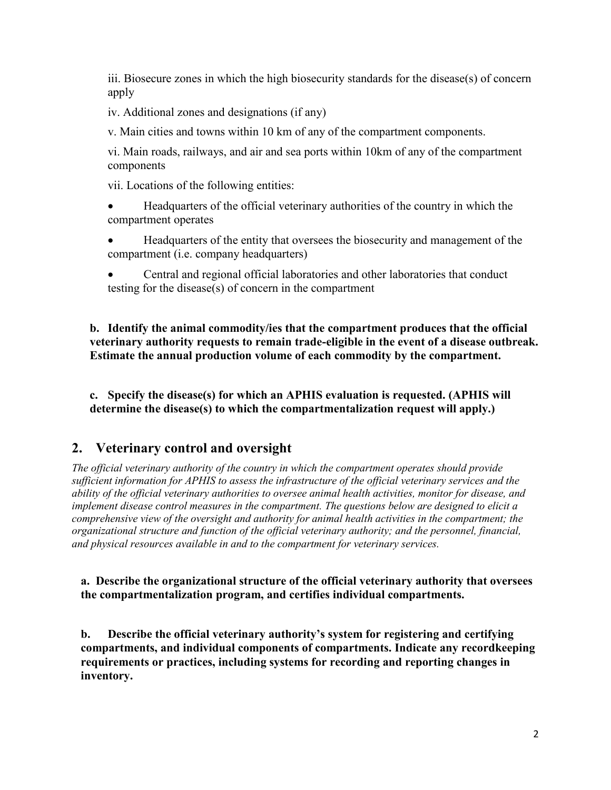iii. Biosecure zones in which the high biosecurity standards for the disease(s) of concern apply

iv. Additional zones and designations (if any)

v. Main cities and towns within 10 km of any of the compartment components.

vi. Main roads, railways, and air and sea ports within 10km of any of the compartment components

vii. Locations of the following entities:

- Headquarters of the official veterinary authorities of the country in which the compartment operates
- Headquarters of the entity that oversees the biosecurity and management of the compartment (i.e. company headquarters)
- Central and regional official laboratories and other laboratories that conduct testing for the disease(s) of concern in the compartment

**b. Identify the animal commodity/ies that the compartment produces that the official veterinary authority requests to remain trade-eligible in the event of a disease outbreak. Estimate the annual production volume of each commodity by the compartment.**

**c. Specify the disease(s) for which an APHIS evaluation is requested. (APHIS will determine the disease(s) to which the compartmentalization request will apply.)**

## **2. Veterinary control and oversight**

*The official veterinary authority of the country in which the compartment operates should provide sufficient information for APHIS to assess the infrastructure of the official veterinary services and the ability of the official veterinary authorities to oversee animal health activities, monitor for disease, and implement disease control measures in the compartment. The questions below are designed to elicit a comprehensive view of the oversight and authority for animal health activities in the compartment; the organizational structure and function of the official veterinary authority; and the personnel, financial, and physical resources available in and to the compartment for veterinary services.*

#### **a. Describe the organizational structure of the official veterinary authority that oversees the compartmentalization program, and certifies individual compartments.**

**b. Describe the official veterinary authority's system for registering and certifying compartments, and individual components of compartments. Indicate any recordkeeping requirements or practices, including systems for recording and reporting changes in inventory.**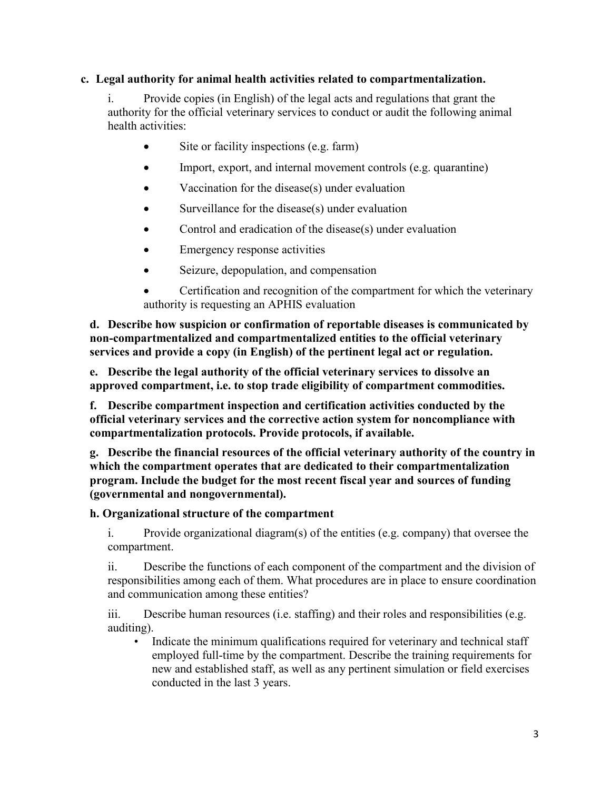#### **c. Legal authority for animal health activities related to compartmentalization.**

i. Provide copies (in English) of the legal acts and regulations that grant the authority for the official veterinary services to conduct or audit the following animal health activities:

- Site or facility inspections (e.g. farm)
- Import, export, and internal movement controls (e.g. quarantine)
- Vaccination for the disease(s) under evaluation
- Surveillance for the disease(s) under evaluation
- Control and eradication of the disease $(s)$  under evaluation
- Emergency response activities
- Seizure, depopulation, and compensation
- Certification and recognition of the compartment for which the veterinary authority is requesting an APHIS evaluation

**d. Describe how suspicion or confirmation of reportable diseases is communicated by non-compartmentalized and compartmentalized entities to the official veterinary services and provide a copy (in English) of the pertinent legal act or regulation.**

**e. Describe the legal authority of the official veterinary services to dissolve an approved compartment, i.e. to stop trade eligibility of compartment commodities.**

**f. Describe compartment inspection and certification activities conducted by the official veterinary services and the corrective action system for noncompliance with compartmentalization protocols. Provide protocols, if available.**

**g. Describe the financial resources of the official veterinary authority of the country in which the compartment operates that are dedicated to their compartmentalization program. Include the budget for the most recent fiscal year and sources of funding (governmental and nongovernmental).**

#### **h. Organizational structure of the compartment**

i. Provide organizational diagram(s) of the entities (e.g. company) that oversee the compartment.

ii. Describe the functions of each component of the compartment and the division of responsibilities among each of them. What procedures are in place to ensure coordination and communication among these entities?

iii. Describe human resources (i.e. staffing) and their roles and responsibilities (e.g. auditing).

• Indicate the minimum qualifications required for veterinary and technical staff employed full-time by the compartment. Describe the training requirements for new and established staff, as well as any pertinent simulation or field exercises conducted in the last 3 years.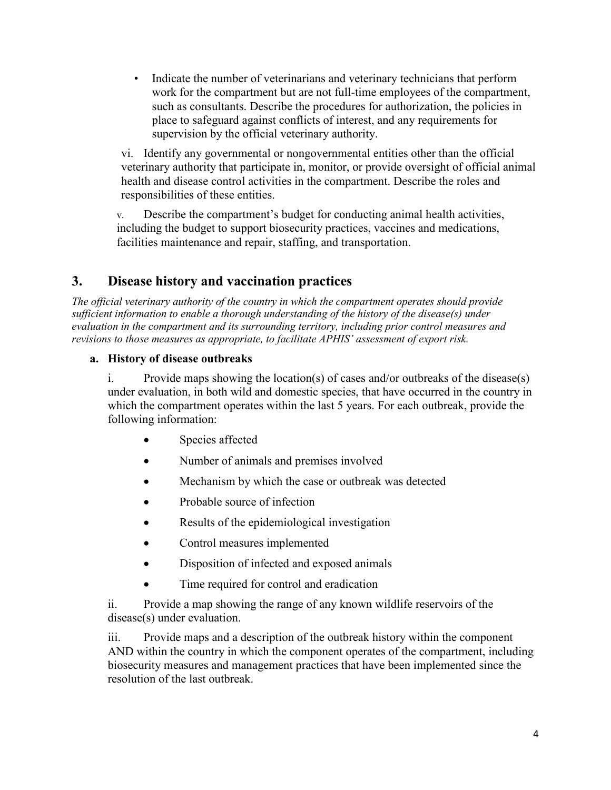• Indicate the number of veterinarians and veterinary technicians that perform work for the compartment but are not full-time employees of the compartment, such as consultants. Describe the procedures for authorization, the policies in place to safeguard against conflicts of interest, and any requirements for supervision by the official veterinary authority.

vi. Identify any governmental or nongovernmental entities other than the official veterinary authority that participate in, monitor, or provide oversight of official animal health and disease control activities in the compartment. Describe the roles and responsibilities of these entities.

v. Describe the compartment's budget for conducting animal health activities, including the budget to support biosecurity practices, vaccines and medications, facilities maintenance and repair, staffing, and transportation.

# **3. Disease history and vaccination practices**

*The official veterinary authority of the country in which the compartment operates should provide sufficient information to enable a thorough understanding of the history of the disease(s) under evaluation in the compartment and its surrounding territory, including prior control measures and revisions to those measures as appropriate, to facilitate APHIS' assessment of export risk.*

#### **a. History of disease outbreaks**

i. Provide maps showing the location(s) of cases and/or outbreaks of the disease(s) under evaluation, in both wild and domestic species, that have occurred in the country in which the compartment operates within the last 5 years. For each outbreak, provide the following information:

- Species affected
- Number of animals and premises involved
- Mechanism by which the case or outbreak was detected
- Probable source of infection
- Results of the epidemiological investigation
- Control measures implemented
- Disposition of infected and exposed animals
- Time required for control and eradication

ii. Provide a map showing the range of any known wildlife reservoirs of the disease(s) under evaluation.

iii. Provide maps and a description of the outbreak history within the component AND within the country in which the component operates of the compartment, including biosecurity measures and management practices that have been implemented since the resolution of the last outbreak.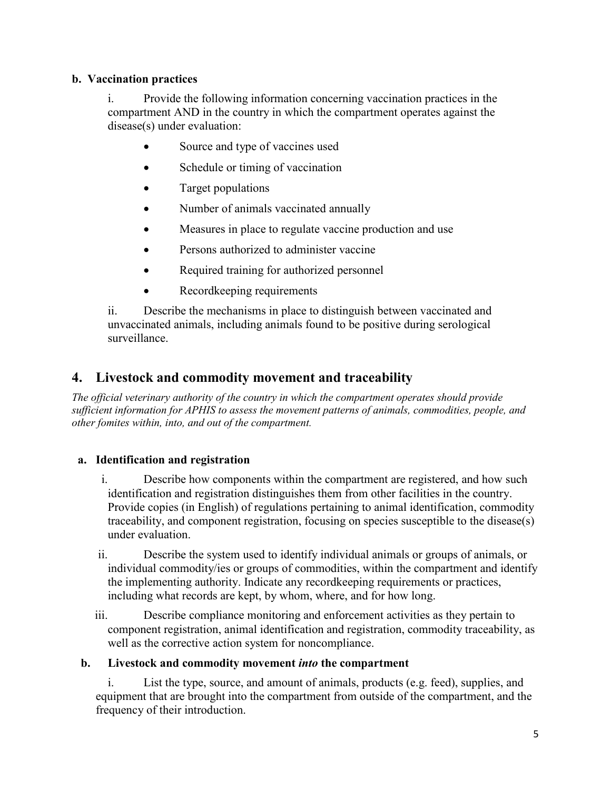#### **b. Vaccination practices**

i. Provide the following information concerning vaccination practices in the compartment AND in the country in which the compartment operates against the disease(s) under evaluation:

- Source and type of vaccines used
- Schedule or timing of vaccination
- Target populations
- Number of animals vaccinated annually
- Measures in place to regulate vaccine production and use
- Persons authorized to administer vaccine
- Required training for authorized personnel
- Recordkeeping requirements

ii. Describe the mechanisms in place to distinguish between vaccinated and unvaccinated animals, including animals found to be positive during serological surveillance.

## **4. Livestock and commodity movement and traceability**

*The official veterinary authority of the country in which the compartment operates should provide sufficient information for APHIS to assess the movement patterns of animals, commodities, people, and other fomites within, into, and out of the compartment.*

#### **a. Identification and registration**

- i. Describe how components within the compartment are registered, and how such identification and registration distinguishes them from other facilities in the country. Provide copies (in English) of regulations pertaining to animal identification, commodity traceability, and component registration, focusing on species susceptible to the disease(s) under evaluation.
- ii. Describe the system used to identify individual animals or groups of animals, or individual commodity/ies or groups of commodities, within the compartment and identify the implementing authority. Indicate any recordkeeping requirements or practices, including what records are kept, by whom, where, and for how long.
- iii. Describe compliance monitoring and enforcement activities as they pertain to component registration, animal identification and registration, commodity traceability, as well as the corrective action system for noncompliance.

#### **b. Livestock and commodity movement** *into* **the compartment**

i. List the type, source, and amount of animals, products (e.g. feed), supplies, and equipment that are brought into the compartment from outside of the compartment, and the frequency of their introduction.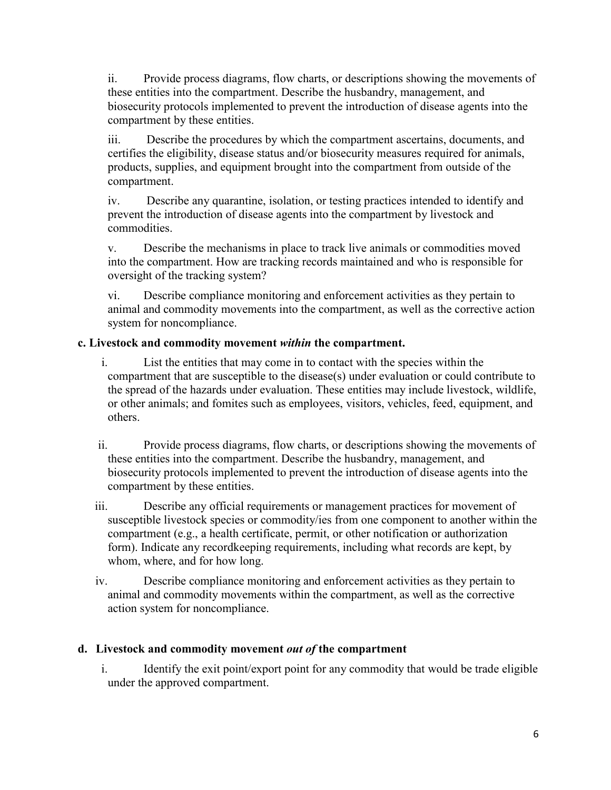ii. Provide process diagrams, flow charts, or descriptions showing the movements of these entities into the compartment. Describe the husbandry, management, and biosecurity protocols implemented to prevent the introduction of disease agents into the compartment by these entities.

iii. Describe the procedures by which the compartment ascertains, documents, and certifies the eligibility, disease status and/or biosecurity measures required for animals, products, supplies, and equipment brought into the compartment from outside of the compartment.

iv. Describe any quarantine, isolation, or testing practices intended to identify and prevent the introduction of disease agents into the compartment by livestock and commodities.

v. Describe the mechanisms in place to track live animals or commodities moved into the compartment. How are tracking records maintained and who is responsible for oversight of the tracking system?

vi. Describe compliance monitoring and enforcement activities as they pertain to animal and commodity movements into the compartment, as well as the corrective action system for noncompliance.

#### **c. Livestock and commodity movement** *within* **the compartment.**

- i. List the entities that may come in to contact with the species within the compartment that are susceptible to the disease(s) under evaluation or could contribute to the spread of the hazards under evaluation. These entities may include livestock, wildlife, or other animals; and fomites such as employees, visitors, vehicles, feed, equipment, and others.
- ii. Provide process diagrams, flow charts, or descriptions showing the movements of these entities into the compartment. Describe the husbandry, management, and biosecurity protocols implemented to prevent the introduction of disease agents into the compartment by these entities.
- iii. Describe any official requirements or management practices for movement of susceptible livestock species or commodity/ies from one component to another within the compartment (e.g., a health certificate, permit, or other notification or authorization form). Indicate any recordkeeping requirements, including what records are kept, by whom, where, and for how long.
- iv. Describe compliance monitoring and enforcement activities as they pertain to animal and commodity movements within the compartment, as well as the corrective action system for noncompliance.

#### **d. Livestock and commodity movement** *out of* **the compartment**

i. Identify the exit point/export point for any commodity that would be trade eligible under the approved compartment.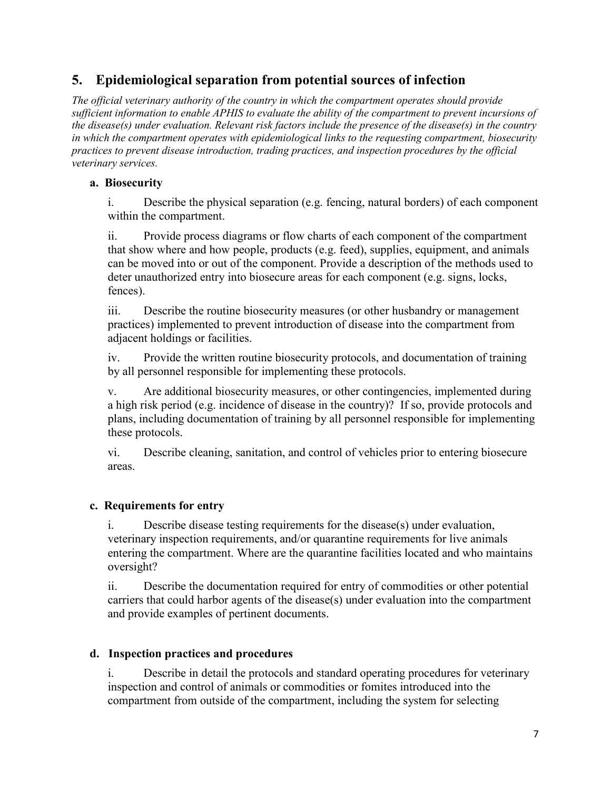# **5. Epidemiological separation from potential sources of infection**

*The official veterinary authority of the country in which the compartment operates should provide sufficient information to enable APHIS to evaluate the ability of the compartment to prevent incursions of the disease(s) under evaluation. Relevant risk factors include the presence of the disease(s) in the country in which the compartment operates with epidemiological links to the requesting compartment, biosecurity practices to prevent disease introduction, trading practices, and inspection procedures by the official veterinary services.*

#### **a. Biosecurity**

i. Describe the physical separation (e.g. fencing, natural borders) of each component within the compartment.

ii. Provide process diagrams or flow charts of each component of the compartment that show where and how people, products (e.g. feed), supplies, equipment, and animals can be moved into or out of the component. Provide a description of the methods used to deter unauthorized entry into biosecure areas for each component (e.g. signs, locks, fences).

iii. Describe the routine biosecurity measures (or other husbandry or management practices) implemented to prevent introduction of disease into the compartment from adjacent holdings or facilities.

iv. Provide the written routine biosecurity protocols, and documentation of training by all personnel responsible for implementing these protocols.

v. Are additional biosecurity measures, or other contingencies, implemented during a high risk period (e.g. incidence of disease in the country)? If so, provide protocols and plans, including documentation of training by all personnel responsible for implementing these protocols.

vi. Describe cleaning, sanitation, and control of vehicles prior to entering biosecure areas.

### **c. Requirements for entry**

i. Describe disease testing requirements for the disease(s) under evaluation, veterinary inspection requirements, and/or quarantine requirements for live animals entering the compartment. Where are the quarantine facilities located and who maintains oversight?

ii. Describe the documentation required for entry of commodities or other potential carriers that could harbor agents of the disease(s) under evaluation into the compartment and provide examples of pertinent documents.

#### **d. Inspection practices and procedures**

i. Describe in detail the protocols and standard operating procedures for veterinary inspection and control of animals or commodities or fomites introduced into the compartment from outside of the compartment, including the system for selecting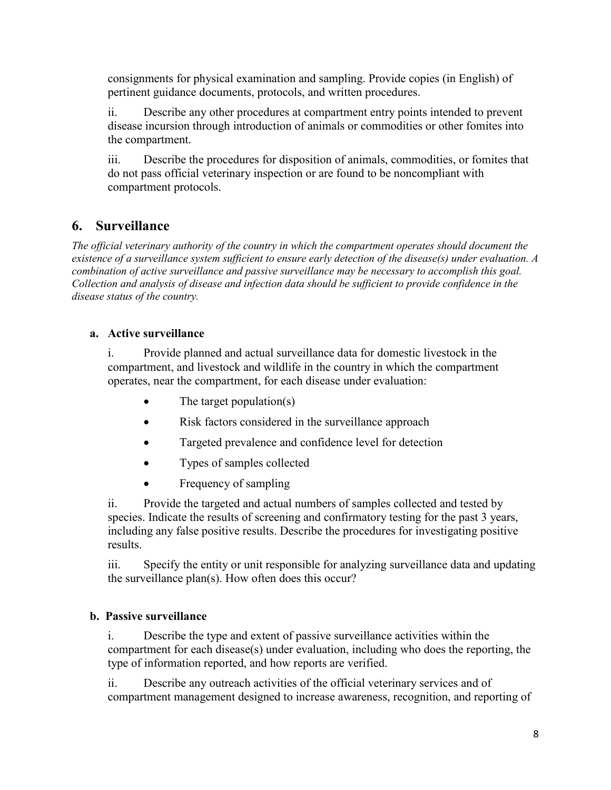consignments for physical examination and sampling. Provide copies (in English) of pertinent guidance documents, protocols, and written procedures.

ii. Describe any other procedures at compartment entry points intended to prevent disease incursion through introduction of animals or commodities or other fomites into the compartment.

iii. Describe the procedures for disposition of animals, commodities, or fomites that do not pass official veterinary inspection or are found to be noncompliant with compartment protocols.

# **6. Surveillance**

*The official veterinary authority of the country in which the compartment operates should document the existence of a surveillance system sufficient to ensure early detection of the disease(s) under evaluation. A combination of active surveillance and passive surveillance may be necessary to accomplish this goal. Collection and analysis of disease and infection data should be sufficient to provide confidence in the disease status of the country.*

### **a. Active surveillance**

i. Provide planned and actual surveillance data for domestic livestock in the compartment, and livestock and wildlife in the country in which the compartment operates, near the compartment, for each disease under evaluation:

- The target population(s)
- Risk factors considered in the surveillance approach
- Targeted prevalence and confidence level for detection
- Types of samples collected
- Frequency of sampling

ii. Provide the targeted and actual numbers of samples collected and tested by species. Indicate the results of screening and confirmatory testing for the past 3 years, including any false positive results. Describe the procedures for investigating positive results.

iii. Specify the entity or unit responsible for analyzing surveillance data and updating the surveillance plan(s). How often does this occur?

### **b. Passive surveillance**

i. Describe the type and extent of passive surveillance activities within the compartment for each disease(s) under evaluation, including who does the reporting, the type of information reported, and how reports are verified.

ii. Describe any outreach activities of the official veterinary services and of compartment management designed to increase awareness, recognition, and reporting of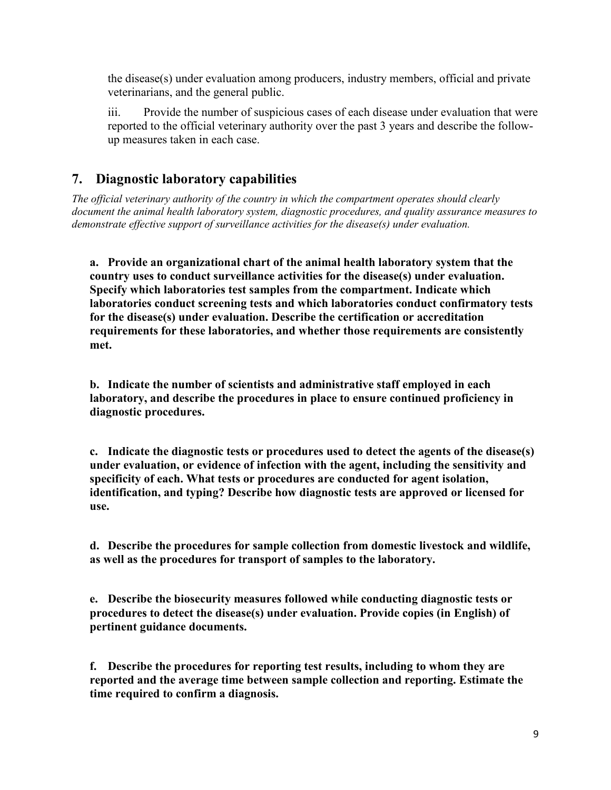the disease(s) under evaluation among producers, industry members, official and private veterinarians, and the general public.

iii. Provide the number of suspicious cases of each disease under evaluation that were reported to the official veterinary authority over the past 3 years and describe the followup measures taken in each case.

# **7. Diagnostic laboratory capabilities**

*The official veterinary authority of the country in which the compartment operates should clearly document the animal health laboratory system, diagnostic procedures, and quality assurance measures to demonstrate effective support of surveillance activities for the disease(s) under evaluation.*

**a. Provide an organizational chart of the animal health laboratory system that the country uses to conduct surveillance activities for the disease(s) under evaluation. Specify which laboratories test samples from the compartment. Indicate which laboratories conduct screening tests and which laboratories conduct confirmatory tests for the disease(s) under evaluation. Describe the certification or accreditation requirements for these laboratories, and whether those requirements are consistently met.**

**b. Indicate the number of scientists and administrative staff employed in each laboratory, and describe the procedures in place to ensure continued proficiency in diagnostic procedures.**

**c. Indicate the diagnostic tests or procedures used to detect the agents of the disease(s) under evaluation, or evidence of infection with the agent, including the sensitivity and specificity of each. What tests or procedures are conducted for agent isolation, identification, and typing? Describe how diagnostic tests are approved or licensed for use.**

**d. Describe the procedures for sample collection from domestic livestock and wildlife, as well as the procedures for transport of samples to the laboratory.**

**e. Describe the biosecurity measures followed while conducting diagnostic tests or procedures to detect the disease(s) under evaluation. Provide copies (in English) of pertinent guidance documents.**

**f. Describe the procedures for reporting test results, including to whom they are reported and the average time between sample collection and reporting. Estimate the time required to confirm a diagnosis.**